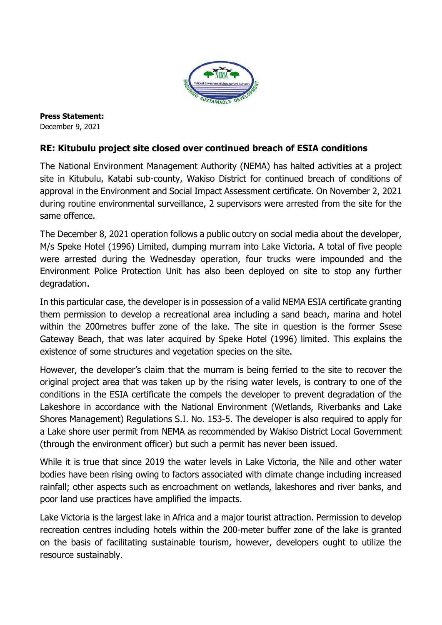

**Press Statement:** December 9, 2021

## **RE: Kitubulu project site closed over continued breach of ESIA conditions**

The National Environment Management Authority (NEMA) has halted activities at a project site in Kitubulu, Katabi sub-county, Wakiso District for continued breach of conditions of approval in the Environment and Social Impact Assessment certificate. On November 2, 2021 during routine environmental surveillance, 2 supervisors were arrested from the site for the same offence.

The December 8, 2021 operation follows a public outcry on social media about the developer, M/s Speke Hotel (1996) Limited, dumping murram into Lake Victoria. A total of five people were arrested during the Wednesday operation, four trucks were impounded and the Environment Police Protection Unit has also been deployed on site to stop any further degradation.

In this particular case, the developer is in possession of a valid NEMA ESIA certificate granting them permission to develop a recreational area including a sand beach, marina and hotel within the 200metres buffer zone of the lake. The site in question is the former Ssese Gateway Beach, that was later acquired by Speke Hotel (1996) limited. This explains the existence of some structures and vegetation species on the site.

However, the developer's claim that the murram is being ferried to the site to recover the original project area that was taken up by the rising water levels, is contrary to one of the conditions in the ESIA certificate the compels the developer to prevent degradation of the Lakeshore in accordance with the National Environment (Wetlands, Riverbanks and Lake Shores Management) Regulations S.I. No. 153-5. The developer is also required to apply for a Lake shore user permit from NEMA as recommended by Wakiso District Local Government (through the environment officer) but such a permit has never been issued.

While it is true that since 2019 the water levels in Lake Victoria, the Nile and other water bodies have been rising owing to factors associated with climate change including increased rainfall; other aspects such as encroachment on wetlands, lakeshores and river banks, and poor land use practices have amplified the impacts.

Lake Victoria is the largest lake in Africa and a major tourist attraction. Permission to develop recreation centres including hotels within the 200-meter buffer zone of the lake is granted on the basis of facilitating sustainable tourism, however, developers ought to utilize the resource sustainably.